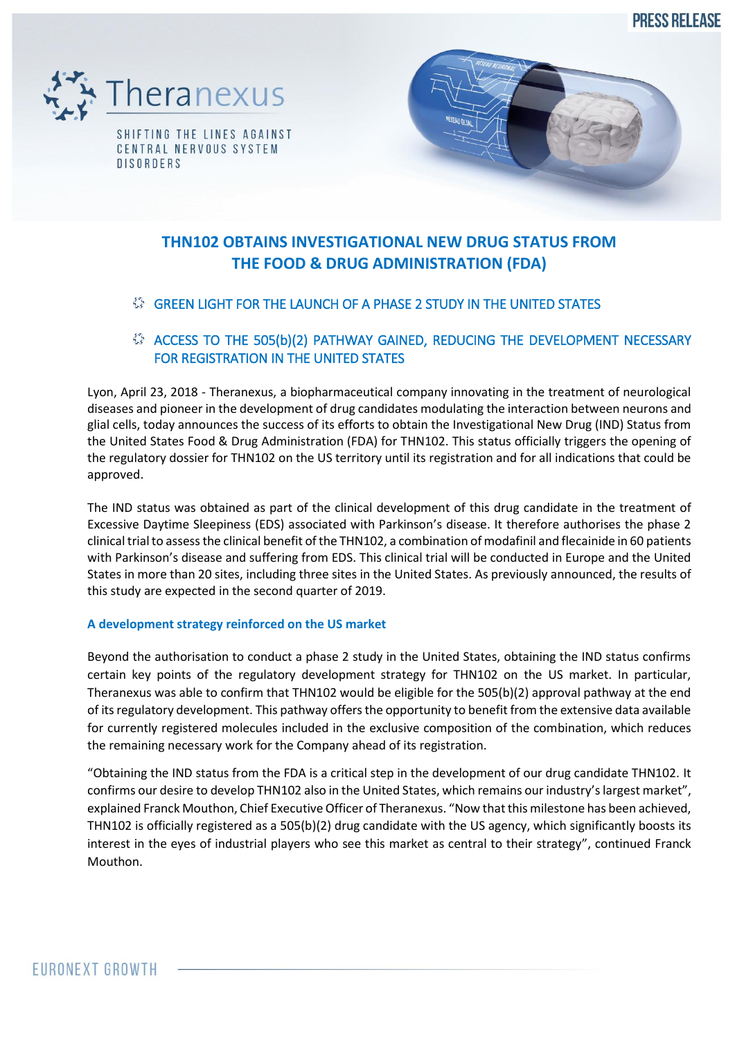**PRESS RELEASE** 





# **THN102 OBTAINS INVESTIGATIONAL NEW DRUG STATUS FROM THE FOOD & DRUG ADMINISTRATION (FDA)**

## GREEN LIGHT FOR THE LAUNCH OF A PHASE 2 STUDY IN THE UNITED STATES

## ACCESS TO THE 505(b)(2) PATHWAY GAINED, REDUCING THE DEVELOPMENT NECESSARY FOR REGISTRATION IN THE UNITED STATES

Lyon, April 23, 2018 - Theranexus, a biopharmaceutical company innovating in the treatment of neurological diseases and pioneer in the development of drug candidates modulating the interaction between neurons and glial cells, today announces the success of its efforts to obtain the Investigational New Drug (IND) Status from the United States Food & Drug Administration (FDA) for THN102. This status officially triggers the opening of the regulatory dossier for THN102 on the US territory until its registration and for all indications that could be approved.

The IND status was obtained as part of the clinical development of this drug candidate in the treatment of Excessive Daytime Sleepiness (EDS) associated with Parkinson's disease. It therefore authorises the phase 2 clinical trial to assess the clinical benefit of the THN102, a combination of modafinil and flecainide in 60 patients with Parkinson's disease and suffering from EDS. This clinical trial will be conducted in Europe and the United States in more than 20 sites, including three sites in the United States. As previously announced, the results of this study are expected in the second quarter of 2019.

## **A development strategy reinforced on the US market**

Beyond the authorisation to conduct a phase 2 study in the United States, obtaining the IND status confirms certain key points of the regulatory development strategy for THN102 on the US market. In particular, Theranexus was able to confirm that THN102 would be eligible for the 505(b)(2) approval pathway at the end of its regulatory development. This pathway offers the opportunity to benefit from the extensive data available for currently registered molecules included in the exclusive composition of the combination, which reduces the remaining necessary work for the Company ahead of its registration.

"Obtaining the IND status from the FDA is a critical step in the development of our drug candidate THN102. It confirms our desire to develop THN102 also in the United States, which remains our industry's largest market", explained Franck Mouthon, Chief Executive Officer of Theranexus. "Now that this milestone has been achieved, THN102 is officially registered as a 505(b)(2) drug candidate with the US agency, which significantly boosts its interest in the eyes of industrial players who see this market as central to their strategy", continued Franck Mouthon.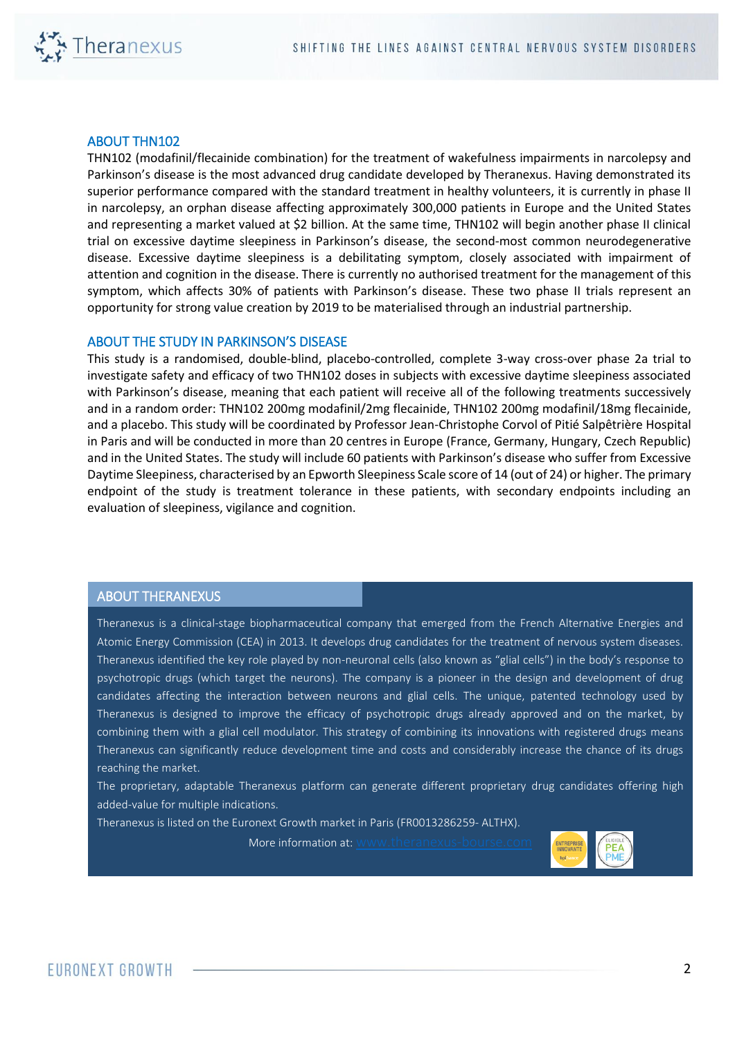

#### ABOUT THN102

THN102 (modafinil/flecainide combination) for the treatment of wakefulness impairments in narcolepsy and Parkinson's disease is the most advanced drug candidate developed by Theranexus. Having demonstrated its superior performance compared with the standard treatment in healthy volunteers, it is currently in phase II in narcolepsy, an orphan disease affecting approximately 300,000 patients in Europe and the United States and representing a market valued at \$2 billion. At the same time, THN102 will begin another phase II clinical trial on excessive daytime sleepiness in Parkinson's disease, the second-most common neurodegenerative disease. Excessive daytime sleepiness is a debilitating symptom, closely associated with impairment of attention and cognition in the disease. There is currently no authorised treatment for the management of this symptom, which affects 30% of patients with Parkinson's disease. These two phase II trials represent an opportunity for strong value creation by 2019 to be materialised through an industrial partnership.

#### ABOUT THE STUDY IN PARKINSON'S DISEASE

This study is a randomised, double-blind, placebo-controlled, complete 3-way cross-over phase 2a trial to investigate safety and efficacy of two THN102 doses in subjects with excessive daytime sleepiness associated with Parkinson's disease, meaning that each patient will receive all of the following treatments successively and in a random order: THN102 200mg modafinil/2mg flecainide, THN102 200mg modafinil/18mg flecainide, and a placebo. This study will be coordinated by Professor Jean-Christophe Corvol of Pitié Salpêtrière Hospital in Paris and will be conducted in more than 20 centres in Europe (France, Germany, Hungary, Czech Republic) and in the United States. The study will include 60 patients with Parkinson's disease who suffer from Excessive Daytime Sleepiness, characterised by an Epworth Sleepiness Scale score of 14 (out of 24) or higher. The primary endpoint of the study is treatment tolerance in these patients, with secondary endpoints including an evaluation of sleepiness, vigilance and cognition.

### ABOUT THERANEXUS

Theranexus is a clinical-stage biopharmaceutical company that emerged from the French Alternative Energies and Atomic Energy Commission (CEA) in 2013. It develops drug candidates for the treatment of nervous system diseases. Theranexus identified the key role played by non-neuronal cells (also known as "glial cells") in the body's response to psychotropic drugs (which target the neurons). The company is a pioneer in the design and development of drug candidates affecting the interaction between neurons and glial cells. The unique, patented technology used by Theranexus is designed to improve the efficacy of psychotropic drugs already approved and on the market, by combining them with a glial cell modulator. This strategy of combining its innovations with registered drugs means Theranexus can significantly reduce development time and costs and considerably increase the chance of its drugs reaching the market.

The proprietary, adaptable Theranexus platform can generate different proprietary drug candidates offering high added-value for multiple indications.

Theranexus is listed on the Euronext Growth market in Paris (FR0013286259- ALTHX).

More information at: www.theranexus-